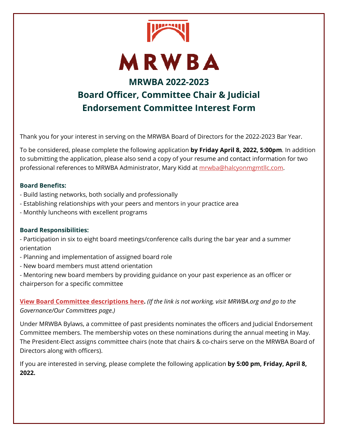

Thank you for your interest in serving on the MRWBA Board of Directors for the 2022-2023 Bar Year.

To be considered, please complete the following application **by Friday April 8, 2022, 5:00pm**. In addition to submitting the application, please also send a copy of your resume and contact information for two professional references to MRWBA Administrator, Mary Kidd at mrwba@halcyonmgmtllc.com.

## **Board Benefits:**

- Build lasting networks, both socially and professionally
- Establishing relationships with your peers and mentors in your practice area
- Monthly luncheons with excellent programs

## **Board Responsibilities:**

- Participation in six to eight board meetings/conference calls during the bar year and a summer orientation

- Planning and implementation of assigned board role
- New board members must attend orientation
- Mentoring new board members by providing guidance on your past experience as an officer or chairperson for a specific committee

**View Board Committee descriptions here.** *(If the link is not working, visit MRWBA.org and go to the Governance/Our Committees page.)* 

Under MRWBA Bylaws, a committee of past presidents nominates the officers and Judicial Endorsement Committee members. The membership votes on these nominations during the annual meeting in May. The President-Elect assigns committee chairs (note that chairs & co-chairs serve on the MRWBA Board of Directors along with officers).

If you are interested in serving, please complete the following application **by 5:00 pm, Friday, April 8, 2022.**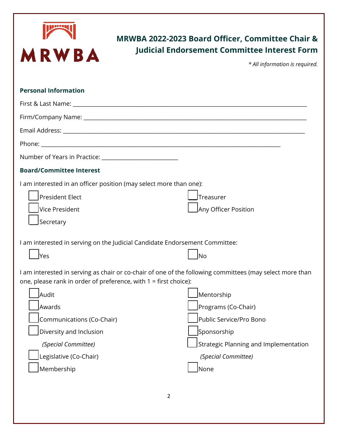

## **MRWBA 2022-2023 Board Officer, Committee Chair & Judicial Endorsement Committee Interest Form**

*\* All information is required.* 

| <b>Personal Information</b>                                                                                                                                                                                                                                                                                                   |                                                                                                                                                     |
|-------------------------------------------------------------------------------------------------------------------------------------------------------------------------------------------------------------------------------------------------------------------------------------------------------------------------------|-----------------------------------------------------------------------------------------------------------------------------------------------------|
|                                                                                                                                                                                                                                                                                                                               |                                                                                                                                                     |
|                                                                                                                                                                                                                                                                                                                               |                                                                                                                                                     |
|                                                                                                                                                                                                                                                                                                                               |                                                                                                                                                     |
|                                                                                                                                                                                                                                                                                                                               |                                                                                                                                                     |
|                                                                                                                                                                                                                                                                                                                               |                                                                                                                                                     |
| <b>Board/Committee Interest</b>                                                                                                                                                                                                                                                                                               |                                                                                                                                                     |
| I am interested in an officer position (may select more than one):<br>President Elect<br>Vice President<br>Secretary                                                                                                                                                                                                          | Treasurer <br>Any Officer Position                                                                                                                  |
| I am interested in serving on the Judicial Candidate Endorsement Committee:<br>lyes                                                                                                                                                                                                                                           | lNo                                                                                                                                                 |
| I am interested in serving as chair or co-chair of one of the following committees (may select more than<br>one, please rank in order of preference, with 1 = first choice):<br><b>Audit</b><br>Awards<br>Communications (Co-Chair)<br>Diversity and Inclusion<br>(Special Committee)<br>Legislative (Co-Chair)<br>Membership | Mentorship<br>Programs (Co-Chair)<br>Public Service/Pro Bono<br>Sponsorship<br>Strategic Planning and Implementation<br>(Special Committee)<br>None |